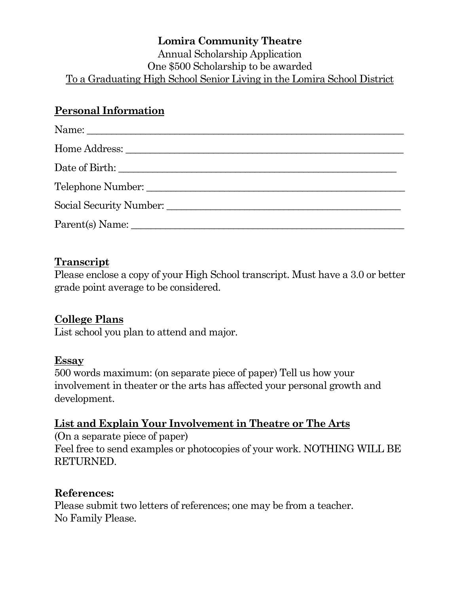#### **Lomira Community Theatre** Annual Scholarship Application One \$500 Scholarship to be awarded To a Graduating High School Senior Living in the Lomira School District

## **Personal Information**

| Name:             |
|-------------------|
|                   |
| Date of Birth:    |
| Telephone Number: |
|                   |
| Parent(s) Name:   |

### **Transcript**

Please enclose a copy of your High School transcript. Must have a 3.0 or better grade point average to be considered.

## **College Plans**

List school you plan to attend and major.

### **Essay**

500 words maximum: (on separate piece of paper) Tell us how your involvement in theater or the arts has affected your personal growth and development.

### **List and Explain Your Involvement in Theatre or The Arts**

(On a separate piece of paper) Feel free to send examples or photocopies of your work. NOTHING WILL BE RETURNED.

## **References:**

Please submit two letters of references; one may be from a teacher. No Family Please.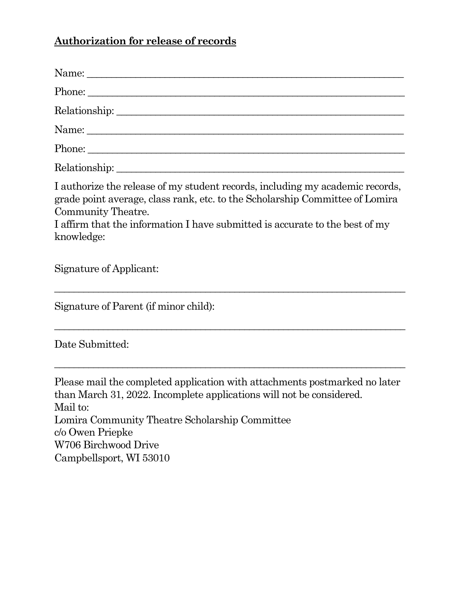# **Authorization for release of records**

| I authorize the release of my student records, including my academic records,<br>grade point average, class rank, etc. to the Scholarship Committee of Lomira<br>Community Theatre.<br>I affirm that the information I have submitted is accurate to the best of my<br>knowledge:       |
|-----------------------------------------------------------------------------------------------------------------------------------------------------------------------------------------------------------------------------------------------------------------------------------------|
| Signature of Applicant:                                                                                                                                                                                                                                                                 |
| Signature of Parent (if minor child):                                                                                                                                                                                                                                                   |
| Date Submitted:                                                                                                                                                                                                                                                                         |
| Please mail the completed application with attachments postmarked no later<br>than March 31, 2022. Incomplete applications will not be considered.<br>Mail to:<br>Lomira Community Theatre Scholarship Committee<br>c/o Owen Priepke<br>W706 Birchwood Drive<br>Campbellsport, WI 53010 |